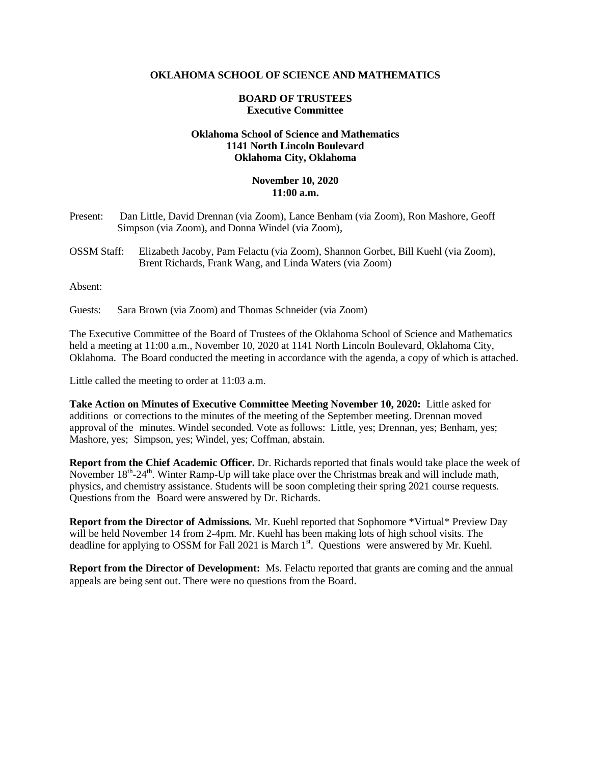## **OKLAHOMA SCHOOL OF SCIENCE AND MATHEMATICS**

## **BOARD OF TRUSTEES Executive Committee**

## **Oklahoma School of Science and Mathematics 1141 North Lincoln Boulevard Oklahoma City, Oklahoma**

## **November 10, 2020 11:00 a.m.**

- Present: Dan Little, David Drennan (via Zoom), Lance Benham (via Zoom), Ron Mashore, Geoff Simpson (via Zoom), and Donna Windel (via Zoom),
- OSSM Staff: Elizabeth Jacoby, Pam Felactu (via Zoom), Shannon Gorbet, Bill Kuehl (via Zoom), Brent Richards, Frank Wang, and Linda Waters (via Zoom)

Absent:

Guests: Sara Brown (via Zoom) and Thomas Schneider (via Zoom)

The Executive Committee of the Board of Trustees of the Oklahoma School of Science and Mathematics held a meeting at 11:00 a.m., November 10, 2020 at 1141 North Lincoln Boulevard, Oklahoma City, Oklahoma. The Board conducted the meeting in accordance with the agenda, a copy of which is attached.

Little called the meeting to order at 11:03 a.m.

**Take Action on Minutes of Executive Committee Meeting November 10, 2020:** Little asked for additions or corrections to the minutes of the meeting of the September meeting. Drennan moved approval of the minutes. Windel seconded. Vote as follows: Little, yes; Drennan, yes; Benham, yes; Mashore, yes; Simpson, yes; Windel, yes; Coffman, abstain.

**Report from the Chief Academic Officer.** Dr. Richards reported that finals would take place the week of November  $18<sup>th</sup>-24<sup>th</sup>$ . Winter Ramp-Up will take place over the Christmas break and will include math, physics, and chemistry assistance. Students will be soon completing their spring 2021 course requests. Questions from the Board were answered by Dr. Richards.

**Report from the Director of Admissions.** Mr. Kuehl reported that Sophomore \*Virtual\* Preview Day will be held November 14 from 2-4pm. Mr. Kuehl has been making lots of high school visits. The deadline for applying to OSSM for Fall 2021 is March 1st. Questions were answered by Mr. Kuehl.

**Report from the Director of Development:** Ms. Felactu reported that grants are coming and the annual appeals are being sent out. There were no questions from the Board.